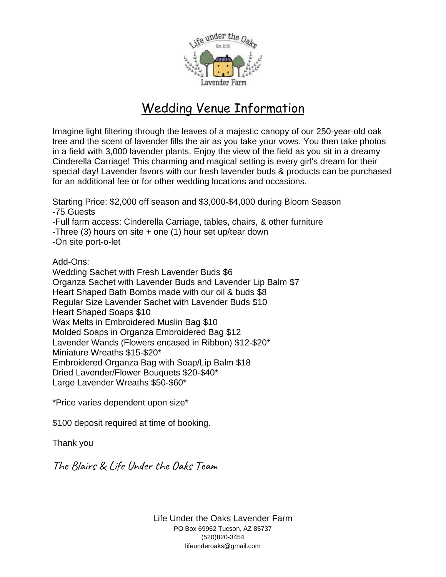

# Wedding Venue Information

Imagine light filtering through the leaves of a majestic canopy of our 250-year-old oak tree and the scent of lavender fills the air as you take your vows. You then take photos in a field with 3,000 lavender plants. Enjoy the view of the field as you sit in a dreamy Cinderella Carriage! This charming and magical setting is every girl's dream for their special day! Lavender favors with our fresh lavender buds & products can be purchased for an additional fee or for other wedding locations and occasions.

Starting Price: \$2,000 off season and \$3,000-\$4,000 during Bloom Season -75 Guests -Full farm access: Cinderella Carriage, tables, chairs, & other furniture -Three  $(3)$  hours on site  $+$  one  $(1)$  hour set up/tear down -On site port-o-let Add-Ons: Wedding Sachet with Fresh Lavender Buds \$6 Organza Sachet with Lavender Buds and Lavender Lip Balm \$7 Heart Shaped Bath Bombs made with our oil & buds \$8 Regular Size Lavender Sachet with Lavender Buds \$10 Heart Shaped Soaps \$10 Wax Melts in Embroidered Muslin Bag \$10 Molded Soaps in Organza Embroidered Bag \$12 Lavender Wands (Flowers encased in Ribbon) \$12-\$20\* Miniature Wreaths \$15-\$20\*

Embroidered Organza Bag with Soap/Lip Balm \$18

Dried Lavender/Flower Bouquets \$20-\$40\*

Large Lavender Wreaths \$50-\$60\*

\*Price varies dependent upon size\*

\$100 deposit required at time of booking.

Thank you

The Blairs & Life Under the Oaks Team

Life Under the Oaks Lavender Farm PO Box 69962 Tucson, AZ 85737 (520)820-3454 lifeunderoaks@gmail.com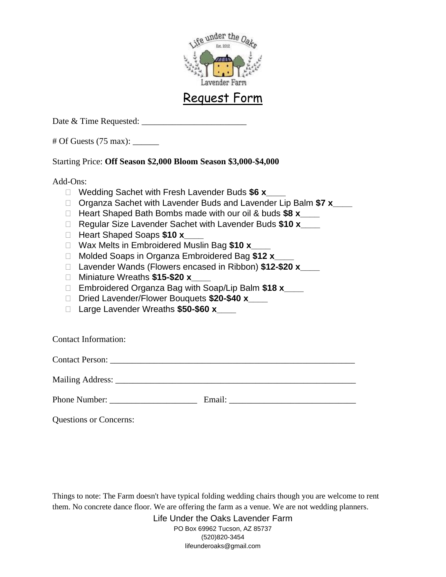

## Request Form

Date & Time Requested:

 $\#$  Of Guests (75 max):

### Starting Price: **Off Season \$2,000 Bloom Season \$3,000-\$4,000**

Add-Ons:

- Wedding Sachet with Fresh Lavender Buds **\$6 x\_\_\_\_**
- □ Organza Sachet with Lavender Buds and Lavender Lip Balm \$7 x\_\_\_\_
- Heart Shaped Bath Bombs made with our oil & buds **\$8 x\_\_\_\_**
- Regular Size Lavender Sachet with Lavender Buds **\$10 x\_\_\_\_**
- Heart Shaped Soaps **\$10 x\_\_\_\_**
- □ Wax Melts in Embroidered Muslin Bag \$10 **x**
- Molded Soaps in Organza Embroidered Bag **\$12 x\_\_\_\_**
- Lavender Wands (Flowers encased in Ribbon) **\$12-\$20 x\_\_\_\_**
- Miniature Wreaths **\$15-\$20 x\_\_\_\_**
- Embroidered Organza Bag with Soap/Lip Balm **\$18 x\_\_\_\_**
- Dried Lavender/Flower Bouquets **\$20-\$40 x\_\_\_\_**
- Large Lavender Wreaths **\$50-\$60 x\_\_\_\_**

Contact Information:

Contact Person: \_\_\_\_\_\_\_\_\_\_\_\_\_\_\_\_\_\_\_\_\_\_\_\_\_\_\_\_\_\_\_\_\_\_\_\_\_\_\_\_\_\_\_\_\_\_\_\_\_\_\_\_\_\_\_\_

Mailing Address: \_\_\_\_\_\_\_\_\_\_\_\_\_\_\_\_\_\_\_\_\_\_\_\_\_\_\_\_\_\_\_\_\_\_\_\_\_\_\_\_\_\_\_\_\_\_\_\_\_\_\_\_\_\_\_

Phone Number: \_\_\_\_\_\_\_\_\_\_\_\_\_\_\_\_\_\_\_\_ Email: \_\_\_\_\_\_\_\_\_\_\_\_\_\_\_\_\_\_\_\_\_\_\_\_\_\_\_\_\_

Questions or Concerns:

Things to note: The Farm doesn't have typical folding wedding chairs though you are welcome to rent them. No concrete dance floor. We are offering the farm as a venue. We are not wedding planners.

> Life Under the Oaks Lavender Farm PO Box 69962 Tucson, AZ 85737 (520)820-3454 lifeunderoaks@gmail.com